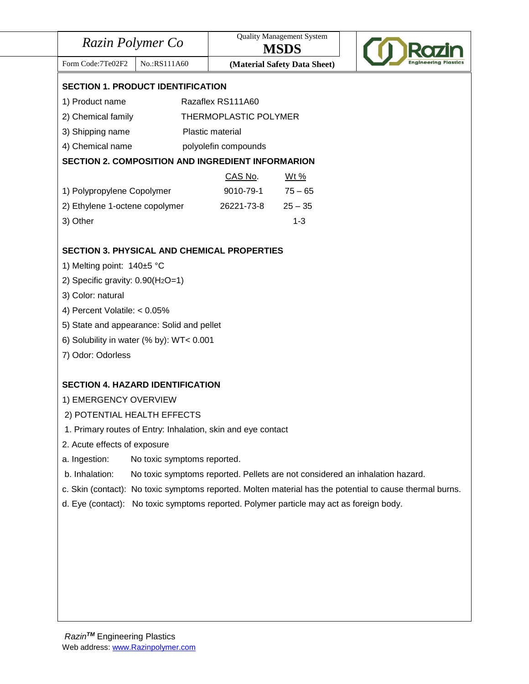| Razin Polymer Co                                                                                         |                                                              | <b>Quality Management System</b><br><b>MSDS</b> |                                                                              |  |
|----------------------------------------------------------------------------------------------------------|--------------------------------------------------------------|-------------------------------------------------|------------------------------------------------------------------------------|--|
| Form Code: 7Te02F2                                                                                       | No.:RS111A60                                                 |                                                 | (Material Safety Data Sheet)                                                 |  |
| <b>SECTION 1. PRODUCT IDENTIFICATION</b>                                                                 |                                                              |                                                 |                                                                              |  |
| 1) Product name                                                                                          |                                                              | Razaflex RS111A60                               |                                                                              |  |
| 2) Chemical family                                                                                       |                                                              | THERMOPLASTIC POLYMER                           |                                                                              |  |
| 3) Shipping name                                                                                         |                                                              | Plastic material                                |                                                                              |  |
| 4) Chemical name                                                                                         |                                                              | polyolefin compounds                            |                                                                              |  |
| <b>SECTION 2. COMPOSITION AND INGREDIENT INFORMARION</b>                                                 |                                                              |                                                 |                                                                              |  |
|                                                                                                          |                                                              | CAS No.                                         | <u>Wt %</u>                                                                  |  |
| 1) Polypropylene Copolymer                                                                               |                                                              | 9010-79-1                                       | $75 - 65$                                                                    |  |
| 2) Ethylene 1-octene copolymer                                                                           |                                                              | 26221-73-8                                      | $25 - 35$                                                                    |  |
| 3) Other                                                                                                 |                                                              |                                                 | $1 - 3$                                                                      |  |
| <b>SECTION 3. PHYSICAL AND CHEMICAL PROPERTIES</b>                                                       |                                                              |                                                 |                                                                              |  |
| 1) Melting point: 140±5 °C                                                                               |                                                              |                                                 |                                                                              |  |
| 2) Specific gravity: $0.90(H_2O=1)$                                                                      |                                                              |                                                 |                                                                              |  |
| 3) Color: natural                                                                                        |                                                              |                                                 |                                                                              |  |
| 4) Percent Volatile: $< 0.05\%$                                                                          |                                                              |                                                 |                                                                              |  |
| 5) State and appearance: Solid and pellet                                                                |                                                              |                                                 |                                                                              |  |
| 6) Solubility in water (% by): WT< 0.001                                                                 |                                                              |                                                 |                                                                              |  |
| 7) Odor: Odorless                                                                                        |                                                              |                                                 |                                                                              |  |
|                                                                                                          |                                                              |                                                 |                                                                              |  |
| <b>SECTION 4. HAZARD IDENTIFICATION</b>                                                                  |                                                              |                                                 |                                                                              |  |
| 1) EMERGENCY OVERVIEW                                                                                    |                                                              |                                                 |                                                                              |  |
| 2) POTENTIAL HEALTH EFFECTS                                                                              |                                                              |                                                 |                                                                              |  |
|                                                                                                          | 1. Primary routes of Entry: Inhalation, skin and eye contact |                                                 |                                                                              |  |
| 2. Acute effects of exposure                                                                             |                                                              |                                                 |                                                                              |  |
| a. Ingestion:                                                                                            | No toxic symptoms reported.                                  |                                                 |                                                                              |  |
|                                                                                                          |                                                              |                                                 | No toxic symptoms reported. Pellets are not considered an inhalation hazard. |  |
| b. Inhalation:                                                                                           |                                                              |                                                 |                                                                              |  |
| c. Skin (contact): No toxic symptoms reported. Molten material has the potential to cause thermal burns. |                                                              |                                                 |                                                                              |  |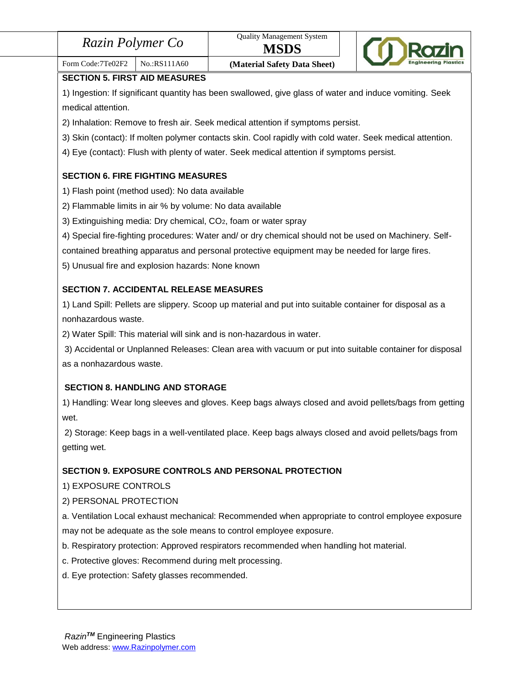| Razin Polymer Co |  |
|------------------|--|
|------------------|--|



# Form Code:7Te02F2 | No.:RS111A60 **(Material Safety Data Sheet)**

**SECTION 5. FIRST AID MEASURES**

1) Ingestion: If significant quantity has been swallowed, give glass of water and induce vomiting. Seek medical attention.

2) Inhalation: Remove to fresh air. Seek medical attention if symptoms persist.

3) Skin (contact): If molten polymer contacts skin. Cool rapidly with cold water. Seek medical attention.

4) Eye (contact): Flush with plenty of water. Seek medical attention if symptoms persist.

# **SECTION 6. FIRE FIGHTING MEASURES**

- 1) Flash point (method used): No data available
- 2) Flammable limits in air % by volume: No data available
- 3) Extinguishing media: Dry chemical, CO2, foam or water spray
- 4) Special fire-fighting procedures: Water and/ or dry chemical should not be used on Machinery. Self-

contained breathing apparatus and personal protective equipment may be needed for large fires.

5) Unusual fire and explosion hazards: None known

# **SECTION 7. ACCIDENTAL RELEASE MEASURES**

1) Land Spill: Pellets are slippery. Scoop up material and put into suitable container for disposal as a nonhazardous waste.

2) Water Spill: This material will sink and is non-hazardous in water.

3) Accidental or Unplanned Releases: Clean area with vacuum or put into suitable container for disposal as a nonhazardous waste.

# **SECTION 8. HANDLING AND STORAGE**

1) Handling: Wear long sleeves and gloves. Keep bags always closed and avoid pellets/bags from getting wet.

2) Storage: Keep bags in a well-ventilated place. Keep bags always closed and avoid pellets/bags from getting wet.

# **SECTION 9. EXPOSURE CONTROLS AND PERSONAL PROTECTION**

1) EXPOSURE CONTROLS

# 2) PERSONAL PROTECTION

a. Ventilation Local exhaust mechanical: Recommended when appropriate to control employee exposure may not be adequate as the sole means to control employee exposure.

- b. Respiratory protection: Approved respirators recommended when handling hot material.
- c. Protective gloves: Recommend during melt processing.
- d. Eye protection: Safety glasses recommended.